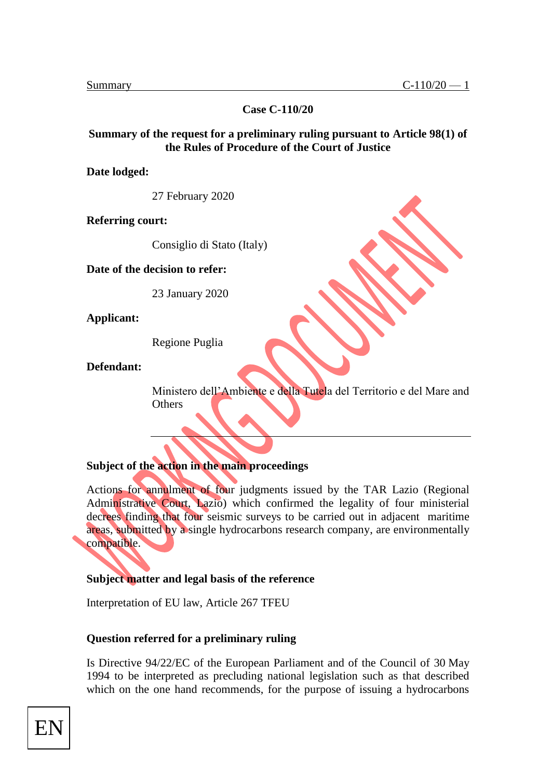**Case C-110/20**

#### **Summary of the request for a preliminary ruling pursuant to Article 98(1) of the Rules of Procedure of the Court of Justice**

**Date lodged:** 

27 February 2020

**Referring court:** 

Consiglio di Stato (Italy)

**Date of the decision to refer:** 

23 January 2020

**Applicant:** 

Regione Puglia

**Defendant:** 

Ministero dell'Ambiente e della Tutela del Territorio e del Mare and **Others** 

# **Subject of the action in the main proceedings**

Actions for annulment of four judgments issued by the TAR Lazio (Regional Administrative Court, Lazio) which confirmed the legality of four ministerial decrees finding that four seismic surveys to be carried out in adjacent maritime areas, submitted by a single hydrocarbons research company, are environmentally compatible.

#### **Subject matter and legal basis of the reference**

Interpretation of EU law, Article 267 TFEU

#### **Question referred for a preliminary ruling**

Is Directive 94/22/EC of the European Parliament and of the Council of 30 May 1994 to be interpreted as precluding national legislation such as that described which on the one hand recommends, for the purpose of issuing a hydrocarbons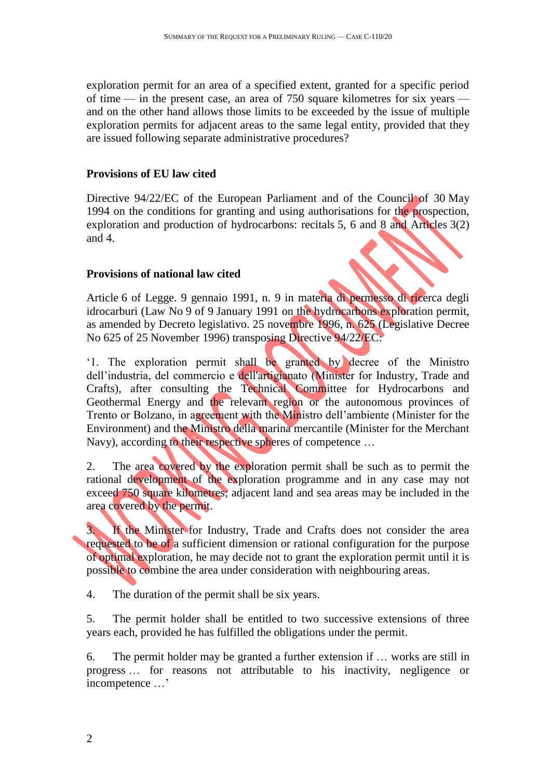exploration permit for an area of a specified extent, granted for a specific period of time — in the present case, an area of 750 square kilometres for six years and on the other hand allows those limits to be exceeded by the issue of multiple exploration permits for adjacent areas to the same legal entity, provided that they are issued following separate administrative procedures?

# **Provisions of EU law cited**

Directive 94/22/EC of the European Parliament and of the Council of 30 May 1994 on the conditions for granting and using authorisations for the prospection, exploration and production of hydrocarbons: recitals 5, 6 and 8 and Articles 3(2) and 4.

# **Provisions of national law cited**

Article 6 of Legge. 9 gennaio 1991, n. 9 in materia di permesso di ricerca degli idrocarburi (Law No 9 of 9 January 1991 on the hydrocarbons exploration permit, as amended by Decreto legislativo. 25 novembre 1996, n. 625 (Legislative Decree No 625 of 25 November 1996) transposing Directive 94/22/EC:

'1. The exploration permit shall be granted by decree of the Ministro dell'industria, del commercio e dell'artigianato (Minister for Industry, Trade and Crafts), after consulting the Technical Committee for Hydrocarbons and Geothermal Energy and the relevant region or the autonomous provinces of Trento or Bolzano, in agreement with the Ministro dell'ambiente (Minister for the Environment) and the Ministro della marina mercantile (Minister for the Merchant Navy), according to their respective spheres of competence …

2. The area covered by the exploration permit shall be such as to permit the rational development of the exploration programme and in any case may not exceed 750 square kilometres; adjacent land and sea areas may be included in the area covered by the permit.

3. If the Minister for Industry, Trade and Crafts does not consider the area requested to be of a sufficient dimension or rational configuration for the purpose of optimal exploration, he may decide not to grant the exploration permit until it is possible to combine the area under consideration with neighbouring areas.

4. The duration of the permit shall be six years.

5. The permit holder shall be entitled to two successive extensions of three years each, provided he has fulfilled the obligations under the permit.

6. The permit holder may be granted a further extension if … works are still in progress … for reasons not attributable to his inactivity, negligence or incompetence …'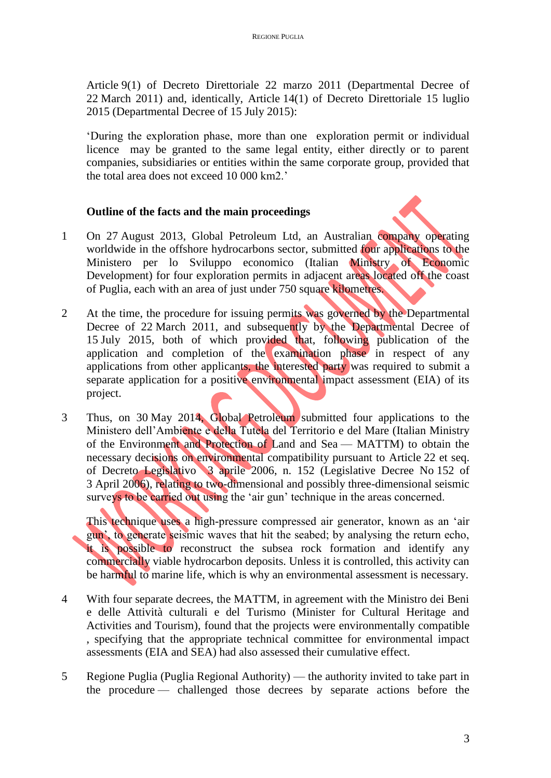Article 9(1) of Decreto Direttoriale 22 marzo 2011 (Departmental Decree of 22 March 2011) and, identically, Article 14(1) of Decreto Direttoriale 15 luglio 2015 (Departmental Decree of 15 July 2015):

'During the exploration phase, more than one exploration permit or individual licence may be granted to the same legal entity, either directly or to parent companies, subsidiaries or entities within the same corporate group, provided that the total area does not exceed 10 000 km2.'

# **Outline of the facts and the main proceedings**

- 1 On 27 August 2013, Global Petroleum Ltd, an Australian company operating worldwide in the offshore hydrocarbons sector, submitted four applications to the Ministero per lo Sviluppo economico (Italian Ministry of Economic Development) for four exploration permits in adjacent areas located off the coast of Puglia, each with an area of just under 750 square kilometres.
- 2 At the time, the procedure for issuing permits was governed by the Departmental Decree of 22 March 2011, and subsequently by the Departmental Decree of 15 July 2015, both of which provided that, following publication of the application and completion of the examination phase in respect of any applications from other applicants, the interested party was required to submit a separate application for a positive environmental impact assessment (EIA) of its project.
- 3 Thus, on 30 May 2014, Global Petroleum submitted four applications to the Ministero dell'Ambiente e della Tutela del Territorio e del Mare (Italian Ministry of the Environment and Protection of Land and Sea — MATTM) to obtain the necessary decisions on environmental compatibility pursuant to Article 22 et seq. of Decreto Legislativo 3 aprile 2006, n. 152 (Legislative Decree No 152 of 3 April 2006), relating to two-dimensional and possibly three-dimensional seismic surveys to be carried out using the 'air gun' technique in the areas concerned.

This technique uses a high-pressure compressed air generator, known as an 'air gun', to generate seismic waves that hit the seabed; by analysing the return echo, it is possible to reconstruct the subsea rock formation and identify any commercially viable hydrocarbon deposits. Unless it is controlled, this activity can be harmful to marine life, which is why an environmental assessment is necessary.

- 4 With four separate decrees, the MATTM, in agreement with the Ministro dei Beni e delle Attività culturali e del Turismo (Minister for Cultural Heritage and Activities and Tourism), found that the projects were environmentally compatible , specifying that the appropriate technical committee for environmental impact assessments (EIA and SEA) had also assessed their cumulative effect.
- 5 Regione Puglia (Puglia Regional Authority) the authority invited to take part in the procedure — challenged those decrees by separate actions before the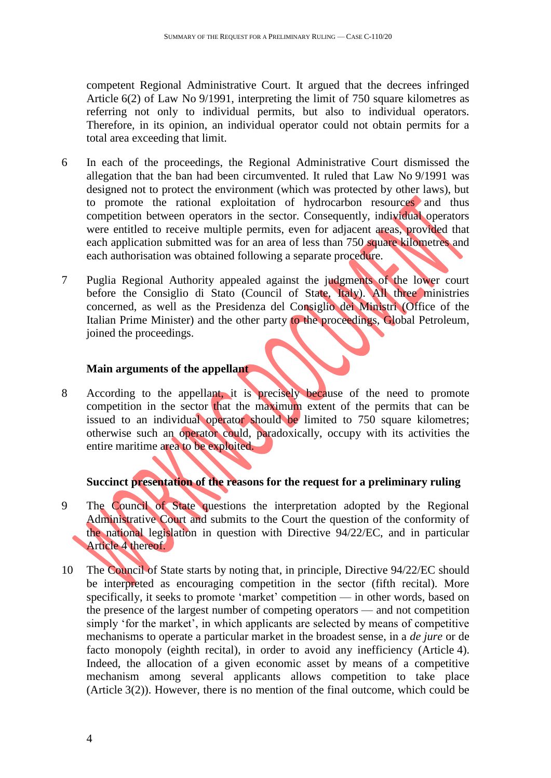competent Regional Administrative Court. It argued that the decrees infringed Article 6(2) of Law No 9/1991, interpreting the limit of 750 square kilometres as referring not only to individual permits, but also to individual operators. Therefore, in its opinion, an individual operator could not obtain permits for a total area exceeding that limit.

- 6 In each of the proceedings, the Regional Administrative Court dismissed the allegation that the ban had been circumvented. It ruled that Law No 9/1991 was designed not to protect the environment (which was protected by other laws), but to promote the rational exploitation of hydrocarbon resources and thus competition between operators in the sector. Consequently, individual operators were entitled to receive multiple permits, even for adjacent areas, provided that each application submitted was for an area of less than 750 square kilometres and each authorisation was obtained following a separate procedure.
- 7 Puglia Regional Authority appealed against the judgments of the lower court before the Consiglio di Stato (Council of State, Italy). All three ministries concerned, as well as the Presidenza del Consiglio dei Ministri (Office of the Italian Prime Minister) and the other party to the proceedings, Global Petroleum, joined the proceedings.

#### **Main arguments of the appellant**

8 According to the appellant, it is precisely because of the need to promote competition in the sector that the maximum extent of the permits that can be issued to an individual operator should be limited to 750 square kilometres; otherwise such an operator could, paradoxically, occupy with its activities the entire maritime area to be exploited.

# **Succinct presentation of the reasons for the request for a preliminary ruling**

- 9 The Council of State questions the interpretation adopted by the Regional Administrative Court and submits to the Court the question of the conformity of the national legislation in question with Directive 94/22/EC, and in particular Article 4 thereof.
- 10 The Council of State starts by noting that, in principle, Directive 94/22/EC should be interpreted as encouraging competition in the sector (fifth recital). More specifically, it seeks to promote 'market' competition — in other words, based on the presence of the largest number of competing operators — and not competition simply 'for the market', in which applicants are selected by means of competitive mechanisms to operate a particular market in the broadest sense, in a *de jure* or de facto monopoly (eighth recital), in order to avoid any inefficiency (Article 4). Indeed, the allocation of a given economic asset by means of a competitive mechanism among several applicants allows competition to take place (Article 3(2)). However, there is no mention of the final outcome, which could be